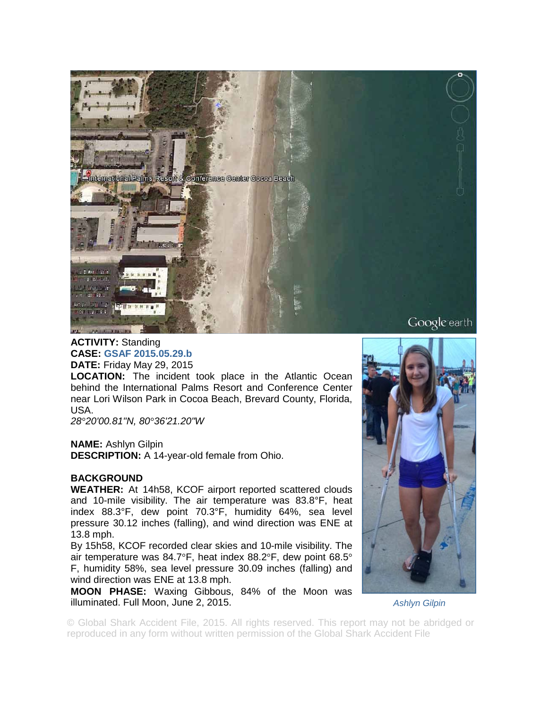

## **ACTIVITY:** Standing **CASE: GSAF 2015.05.29.b DATE:** Friday May 29, 2015

**LOCATION:** The incident took place in the Atlantic Ocean behind the International Palms Resort and Conference Center near Lori Wilson Park in Cocoa Beach, Brevard County, Florida, USA.

*28°20'00.81"N, 80°36'21.20"W* 

## **NAME:** Ashlyn Gilpin

**DESCRIPTION:** A 14-year-old female from Ohio.

## **BACKGROUND**

**WEATHER:** At 14h58, KCOF airport reported scattered clouds and 10-mile visibility. The air temperature was 83.8°F, heat index 88.3°F, dew point 70.3°F, humidity 64%, sea level pressure 30.12 inches (falling), and wind direction was ENE at 13.8 mph.

By 15h58, KCOF recorded clear skies and 10-mile visibility. The air temperature was 84.7°F, heat index 88.2°F, dew point 68.5° F, humidity 58%, sea level pressure 30.09 inches (falling) and wind direction was ENE at 13.8 mph.

**MOON PHASE:** Waxing Gibbous, 84% of the Moon was illuminated. Full Moon, June 2, 2015.



*Ashlyn Gilpin* 

© Global Shark Accident File, 2015. All rights reserved. This report may not be abridged or reproduced in any form without written permission of the Global Shark Accident File